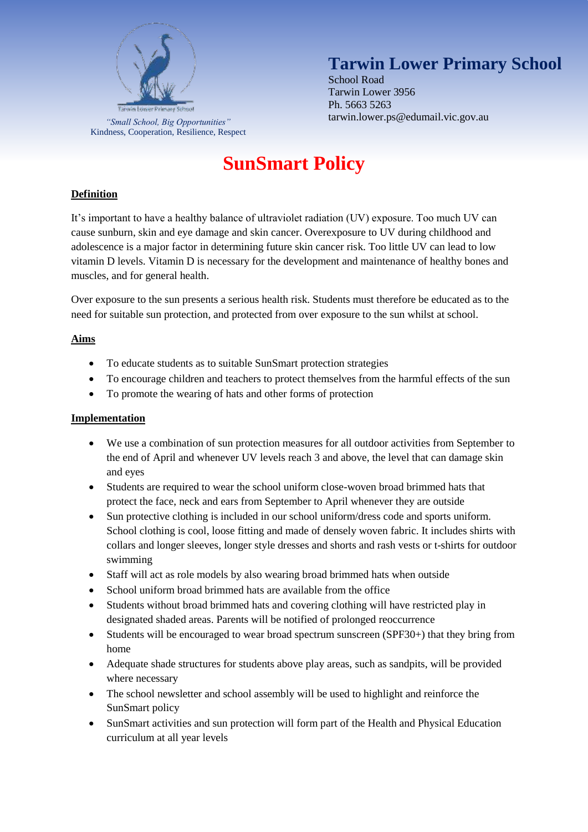

Kindness, Cooperation, Resilience, Respect

## **Tarwin Lower Primary School**

School Road Tarwin Lower 3956 Ph. 5663 5263 tarwin.lower.ps@edumail.vic.gov.au *"Small School, Big Opportunities"*

# **SunSmart Policy**

### **Definition**

It's important to have a healthy balance of ultraviolet radiation (UV) exposure. Too much UV can cause sunburn, skin and eye damage and skin cancer. Overexposure to UV during childhood and adolescence is a major factor in determining future skin cancer risk. Too little UV can lead to low vitamin D levels. Vitamin D is necessary for the development and maintenance of healthy bones and muscles, and for general health.

Over exposure to the sun presents a serious health risk. Students must therefore be educated as to the need for suitable sun protection, and protected from over exposure to the sun whilst at school.

#### **Aims**

- To educate students as to suitable SunSmart protection strategies
- To encourage children and teachers to protect themselves from the harmful effects of the sun
- To promote the wearing of hats and other forms of protection

#### **Implementation**

- We use a combination of sun protection measures for all outdoor activities from September to the end of April and whenever UV levels reach 3 and above, the level that can damage skin and eyes
- Students are required to wear the school uniform close-woven broad brimmed hats that protect the face, neck and ears from September to April whenever they are outside
- Sun protective clothing is included in our school uniform/dress code and sports uniform. School clothing is cool, loose fitting and made of densely woven fabric. It includes shirts with collars and longer sleeves, longer style dresses and shorts and rash vests or t-shirts for outdoor swimming
- Staff will act as role models by also wearing broad brimmed hats when outside
- School uniform broad brimmed hats are available from the office
- Students without broad brimmed hats and covering clothing will have restricted play in designated shaded areas. Parents will be notified of prolonged reoccurrence
- Students will be encouraged to wear broad spectrum sunscreen (SPF30+) that they bring from home
- Adequate shade structures for students above play areas, such as sandpits, will be provided where necessary
- The school newsletter and school assembly will be used to highlight and reinforce the SunSmart policy
- SunSmart activities and sun protection will form part of the Health and Physical Education curriculum at all year levels